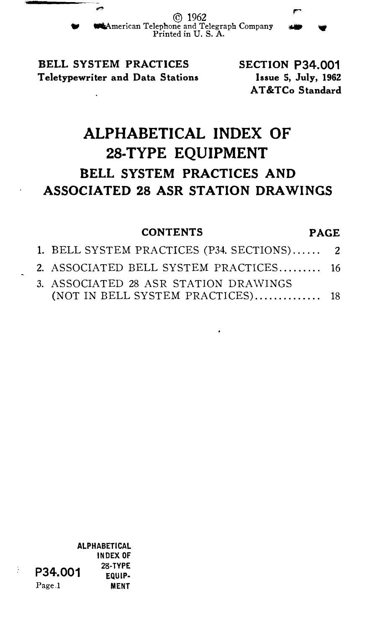..., © 1962 W WIIIIAmerican Telephone and Telegraph Company Printed in U.S. A. r

BELL SYSTEM PRACTICES Teletypewriter and Data Stations SECTION P34.001 Issue S, July, 1962 AT &TCo Standard

# ALPHABETICAL INDEX OF 28-TYPE EQUIPMENT BELL SYSTEM PRACTICES AND ASSOCIATED 28 ASR STATION DRAWINGS

## CONTENTS PAGE

| 1. BELL SYSTEM PRACTICES (P34. SECTIONS) 2                                 |  |
|----------------------------------------------------------------------------|--|
| 2. ASSOCIATED BELL SYSTEM PRACTICES 16                                     |  |
| 3. ASSOCIATED 28 ASR STATION DRAWINGS<br>(NOT IN BELL SYSTEM PRACTICES) 18 |  |

٠

ALPHABETICAL INDEX OF P34.001 28-TYPE Page,l MENT

ż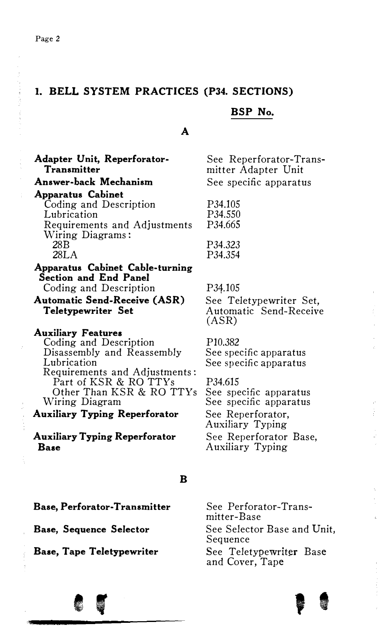#### I. BELL SYSTEM PRACTICES (P34. SECTIONS)

#### BSP No.

#### A

Adapter Unit, Reperforator-Transmitter Answer-hack Mechanism Apparatus Cabinet Coding and Description Lubrication Requirements and Adjustments Wiring Diagrams : 28B 28LA Apparatus Cabinet Cable-turning Section and End Panel Coding and Description Automatic Send-Receive (ASR) Teletypewriter Set Auxiliary Features Coding and Description Disassembly and Reassembly Lubrication Requirements and Adjustments: Part of KSR & RO TTYs Other Than KSR & RO TTYs Wiring Diagram Auxiliary Typing Reperforator Auxiliary Typing Reperforator Base See Reperforator-Transmitter Adapter Unit See specific apparatus P34.105 P34.550 P34.665 P34.323 P34.354 P34.105 See Teletypewriter Set, Automatic Send-Receive (ASR) PI0.382 See specific apparatus See specific apparatus P34.615 See specific apparatus See specific apparatus See Reperforator, Auxiliary Typing See Reperforator Base, Auxiliary Typing

#### B

Base, Perforator-Transmitter

Base, Sequence Selector

Base, Tape Teletypewriter

e '

See Perforator-Transmitter-Base See Selector Base and Unit, Sequence See Teletypewriter Base and Cover, Tape



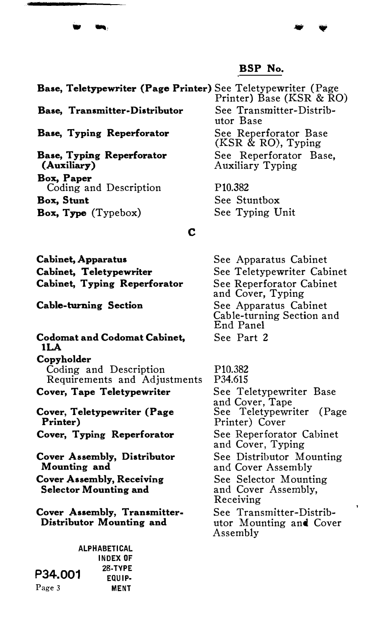$\ddot{\ }$ 

Base, Teletypewriter (Page Printer) See Teletypewriter (Page Base, Transmitter-Distributor Base, Typing Reperforator Base, Typing Reperforator (Auxiliary) Box, Paper Coding and Description Box, Stunt Box, Type (Typebox) c Printer) Base (KSR & RO) See Transmitter-Distributor Base See Reperforator Base (KSR & RO), Typing See Reperforator Base, Auxiliary Typing P10.382 See Stuntbox See Typing Unit

Cabinet, Apparatus Cabinet, Teletypewriter Cabinet, Typing Reperforator

Cable-turning Section

 $\qquad \qquad \bullet$ 

Codomat and Codomat Cabinet, lLA Copyholder Coding and Description

Requirements and Adjustments Cover, Tape Teletypewriter

Cover, Teletypewriter (Page Printer)

Cover, Typing Reperforator

Cover Assembly, Distributor Mounting and Cover Assembly, Receiving

Selector Mounting and

Cover Assembly, Transmitter-Distributor Mounting and

ALPHABETICAL INDEX OF P34.001 28-TYPE EQUIP· Page 3 MENT

See Apparatus Cabinet See Teletypewriter Cabinet See Reperforator Cabinet and Cover, Typing See Apparatus Cabinet Cable-turning Section and End Panel See Part 2

Pl0.382 P34.615 See Teletypewriter Base and Cover, Tape See Teletypewriter (Page Printer) Cover See Reperforator Cabinet and Cover, Typing See Distributor Mounting and Cover Assembly See Selector Mounting and Cover Assembly, Receiving See Transmitter-Distributor Mounting and Cover Assembly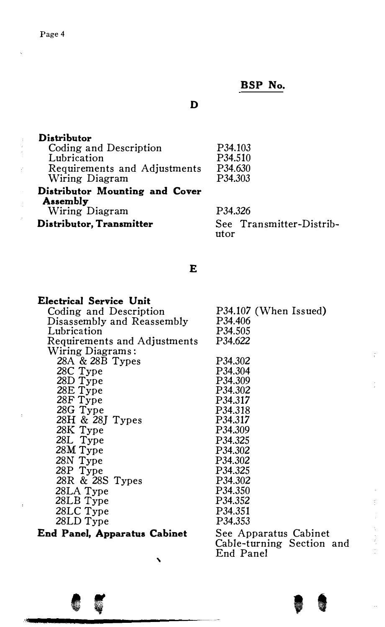## Page 4

l.

 $\frac{1}{2} \left( \frac{1}{2} \right)^2 + \frac{1}{2} \left( \frac{1}{2} \right)^2$ 

 $\bar{\beta}$ 

 $\bar{z}$ 

# BSP No.

' t

## D

| Distributor                    |                                  |
|--------------------------------|----------------------------------|
| Coding and Description         | P <sub>34</sub> .10 <sub>3</sub> |
| Lubrication                    | P34.510                          |
| Requirements and Adjustments   | P34.630                          |
| Wiring Diagram                 | P34.303                          |
| Distributor Mounting and Cover |                                  |
| Assembly                       |                                  |
| Wiring Diagram                 | P34.326                          |
| Distributor, Transmitter       | See Transmitter-Distrib-<br>utor |

# E

| Electrical Service Unit      |                           |
|------------------------------|---------------------------|
| Coding and Description       | P34.107 (When Issued)     |
| Disassembly and Reassembly   | P34.406                   |
| Lubrication                  | P34.505                   |
| Requirements and Adjustments | P34.622                   |
| Wiring Diagrams:             |                           |
| 28A & 28B Types              | P34.302                   |
| 28C Type                     | P34.304                   |
| 28D Type                     | P34.309                   |
| 28E Type                     | P34.302                   |
| 28F Type                     | P34.317                   |
| 28G Type                     | P34.318                   |
| 28H & 28J Types              | P34.317                   |
| 28K Type                     | P34.309                   |
| 28L Type                     | P34.325                   |
| 28M Type                     | P34.302                   |
| 28N Type                     | P34.302                   |
| 28P Type                     | P34.325                   |
| 28R & 28S Types              | P34.302                   |
| 28LA Type                    | P34.350                   |
| 28LB Type                    | P34.352                   |
| 28LC Type                    | P34.351                   |
| 28LD Type                    | P34.353                   |
| End Panel, Apparatus Cabinet | See Apparatus Cabinet     |
|                              | Cable-turning Section and |
|                              | End Panel                 |

 $\lambda$ 

 $\bullet$  ,  $\bullet$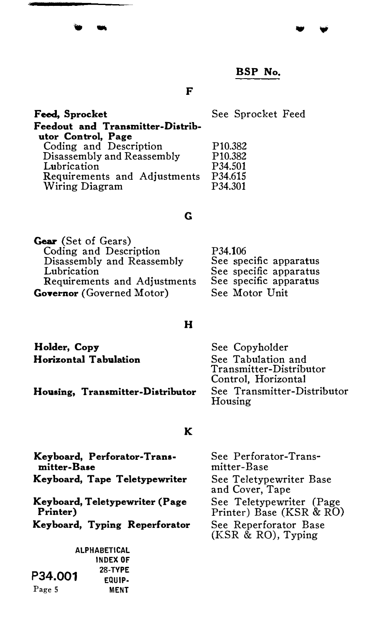F

| F <del>eed</del> , Sprocket                                                                                                                                                     | See Sprocket Feed                                                                                   |
|---------------------------------------------------------------------------------------------------------------------------------------------------------------------------------|-----------------------------------------------------------------------------------------------------|
| Feedout and Transmitter-Distrib-<br>utor Control, Page<br>Coding and Description<br>Disassembly and Reassembly<br>Lubrication<br>Requirements and Adjustments<br>Wiring Diagram | P <sub>10.382</sub><br>P <sub>10.382</sub><br>P <sub>34.501</sub><br>P34.615<br>P <sub>34.301</sub> |

#### G

| Gear (Set of Gears)              |                        |
|----------------------------------|------------------------|
| Coding and Description           | P34.106                |
| Disassembly and Reassembly       | See specific apparatus |
| Lubrication                      | See specific apparatus |
| Requirements and Adjustments     | See specific apparatus |
| <b>Governor</b> (Governed Motor) | See Motor Unit         |

Holder, Copy Horizontal Tabulation

.<br>.<br>.

#### Housing, Transmitter-Distributor

#### H

See Copyholder See Tabulation and Transmitter-Distributor Control, Horizontal See Transmitter-Distributor Housing

#### K

Keyboard, Perforator· Transmitter-Base Keyboard, Tape Teletypewriter Keyboard, Teletypewriter (Page Printer) Keyboard, Typing Reperforator

**ALPHABETICAL** INDEX OF 28-TYPE EQUIP-MENT P34.001 Page 5

See Perforator-Transmitter-Base See Teletypewriter Base and Cover, Tape See Teletypewriter (Page Printer) Base (KSR & RO) See Reperforator Base (KSR & RO), Typing

 $\mathbf{v}$  .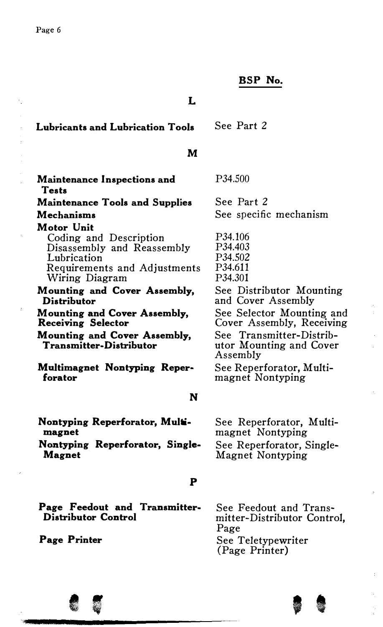à

#### BSP No.

#### L

| See Part 2<br>Lubricants and Lubrication Tools |
|------------------------------------------------|
|------------------------------------------------|

## M

| Maintenance Inspections and<br><b>Tests</b>                                                                       | P34.500                                                         |
|-------------------------------------------------------------------------------------------------------------------|-----------------------------------------------------------------|
| <b>Maintenance Tools and Supplies</b>                                                                             | See Part 2                                                      |
| Mechanisms                                                                                                        | See specific mechanism                                          |
| Motor Unit<br>Coding and Description<br>Disassembly and Reassembly<br>Lubrication<br>Requirements and Adjustments | P34.106<br>P <sub>34.403</sub><br>P34.502<br>P34.611            |
| Wiring Diagram<br>Mounting and Cover Assembly,<br><b>Distributor</b>                                              | P34.301<br>See Distributor Mounting<br>and Cover Assembly       |
| Mounting and Cover Assembly,<br>Receiving Selector                                                                | See Selector Mounting and<br>Cover Assembly, Receiving          |
| Mounting and Cover Assembly,<br>Transmitter-Distributor                                                           | See Transmitter-Distrib-<br>utor Mounting and Cover<br>Assembly |
| Multimagnet Nontyping Reper-<br>forator                                                                           | See Reperforator, Multi-<br>magnet Nontyping                    |
| N                                                                                                                 |                                                                 |

Nontyping Reperforator, Multimagnet

Nontyping Reperforator, Single-Magnet

# p

Page Feedout and Transmitter-Distributor Control

Page Printer

See Feedout and Transmitter-Distributor Control, Page See Teletypewriter (Page Printer)

See Reperforator, Multimagnet Nontyping See Reperforator, Single-Magnet Nontyping

$$
\bullet\; \mathfrak{s}
$$

 $, \, \, \bullet$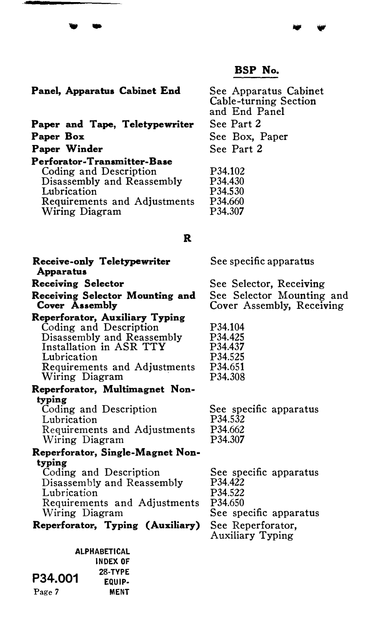#### Panel, Apparatus Cabinet End

. -

Paper and Tape, Teletypewriter Paper Box Paper Winder

#### Perforator· Transmitter-Base Coding and Description Disassembly and Reassembly Lubrication Requirements and Adjustments Wiring Diagram

# See Apparatus Cabinet Cable-turning Section and End Panel See Part 2 See Box, Paper See Part 2

P34.102 P34.430 P34.530 P34.660 P34.307

#### R

| Receive-only Teletypewriter<br><b>Apparatus</b>   | See specific apparatus                                 |
|---------------------------------------------------|--------------------------------------------------------|
| Receiving Selector                                | See Selector, Receiving                                |
| Receiving Selector Mounting and<br>Cover Assembly | See Selector Mounting and<br>Cover Assembly, Receiving |
| Reperforator, Auxiliary Typing                    |                                                        |
| Coding and Description                            | P34.104                                                |
| Disassembly and Reassembly                        | P <sub>34</sub> .425                                   |
| Installation in ASR TTY                           | P34.437                                                |
| Lubrication                                       | P34.525                                                |
| Requirements and Adjustments                      | P34.651                                                |
| Wiring Diagram                                    | P34.308                                                |
| Reperforator, Multimagnet Non-                    |                                                        |
| typing                                            |                                                        |
| Coding and Description                            | See specific apparatus                                 |
| Lubrication                                       | P34.532                                                |
| Requirements and Adjustments                      | P34.662                                                |
| Wiring Diagram                                    | P34.307                                                |
| Reperforator, Single-Magnet Non-                  |                                                        |
| typing                                            |                                                        |
| Coding and Description                            | See specific apparatus                                 |
| Disassembly and Reassembly                        | P34.422                                                |
| Lubrication                                       | P34.522                                                |
| Requirements and Adjustments                      | P <sub>34.650</sub>                                    |
| Wiring Diagram                                    | See specific apparatus                                 |
| Reperforator, Typing (Auxiliary)                  | See Reperforator,<br>Auxiliary Typing                  |
| <b>ALPHABETICAL</b>                               |                                                        |
| INNEY AF                                          |                                                        |

|         | <b>ALPHARETICAL</b> |
|---------|---------------------|
|         | INDEX OF            |
|         | <b>28 TYPE</b>      |
| P34.001 | EQUIP-              |
| Page 7  | <b>MENT</b>         |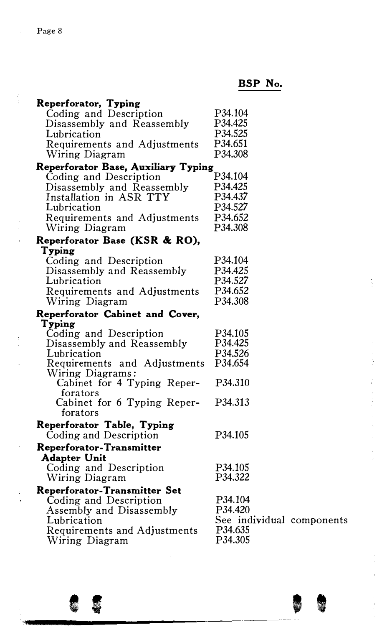$\frac{1}{2}$ 

 $\frac{1}{2}$ 

 $\sim 3$ 

 $\frac{1}{3}$ 

# BSP No.

| Reperforator, Typing                |                           |  |
|-------------------------------------|---------------------------|--|
| Coding and Description              | P34.104                   |  |
| Disassembly and Reassembly          | P34.425                   |  |
| Lubrication                         | P34.525                   |  |
| Requirements and Adjustments        | P34.651                   |  |
| Wiring Diagram                      | P34.308                   |  |
| Reperforator Base, Auxiliary Typing |                           |  |
| Coding and Description              | P34.104                   |  |
| Disassembly and Reassembly          | P34.425                   |  |
| Installation in ASR TTY             | P34.437                   |  |
| Lubrication                         | P34.527                   |  |
| Requirements and Adjustments        | P34.652                   |  |
| Wiring Diagram                      | P34.308                   |  |
| Reperforator Base (KSR & RO),       |                           |  |
| Typing                              |                           |  |
| Coding and Description              | P34.104                   |  |
| Disassembly and Reassembly          | P <sub>34.425</sub>       |  |
| Lubrication                         | P34.527                   |  |
| Requirements and Adjustments        | P34.652                   |  |
| Wiring Diagram                      | P34.308                   |  |
| Reperforator Cabinet and Cover,     |                           |  |
| Typing                              |                           |  |
| Coding and Description              | P34.105                   |  |
| Disassembly and Reassembly          | P34.425                   |  |
| Lubrication                         | P34.526                   |  |
| Requirements and Adjustments        | P34.654                   |  |
| Wiring Diagrams:                    |                           |  |
| Cabinet for 4 Typing Reper-         | P34.310                   |  |
| forators                            |                           |  |
| Cabinet for 6 Typing Reper-         | P34.313                   |  |
| forators                            |                           |  |
| Reperforator Table, Typing          |                           |  |
| Coding and Description              | P34.105                   |  |
| Reperforator-Transmitter            |                           |  |
| Adapter Unit                        |                           |  |
| Coding and Description              | P34.105                   |  |
| Wiring Diagram                      | P34.322                   |  |
| Reperforator-Transmitter Set        |                           |  |
| Coding and Description              | P34.104                   |  |
| Assembly and Disassembly            | P34.420                   |  |
| Lubrication                         | See individual components |  |
| Requirements and Adjustments        | P34.635                   |  |
| Wiring Diagram                      | P34.305                   |  |
|                                     |                           |  |

85 – BB

 $\frac{1}{2}$ 

医单位 医皮肤 医心包膜炎 医血管的 医血管切除术 医心房性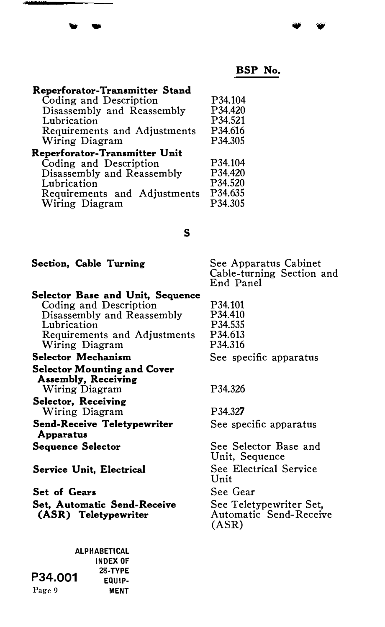| Reperforator-Transmitter Stand |                     |
|--------------------------------|---------------------|
| Coding and Description         | P <sub>34.104</sub> |
| Disassembly and Reassembly     | P <sub>34</sub> 420 |
| Lubrication                    | P <sub>34.521</sub> |
| Requirements and Adjustments   | P34.616             |
| Wiring Diagram                 | P34.305             |
| Reperforator-Transmitter Unit  |                     |
| Coding and Description         | P34.104             |
| Disassembly and Reassembly     | P34.420             |
| Lubrication                    | P34.520             |
| Requirements and Adjustments   | P34.635             |
| Wiring Diagram                 | P34.305             |

## s

|  |  |  |  |  | Section, Cable Turning |
|--|--|--|--|--|------------------------|
|--|--|--|--|--|------------------------|

 $\cdot$  .

See Apparatus Cabinet Cable-turning Section and End Panel

| Selector Base and Unit, Sequence                          |                                                            |
|-----------------------------------------------------------|------------------------------------------------------------|
| Coding and Description                                    | P34.101                                                    |
| Disassembly and Reassembly                                | P34.410                                                    |
| Lubrication                                               | P34.535                                                    |
| Requirements and Adjustments                              | P34.613                                                    |
| Wiring Diagram                                            | P34.316                                                    |
| <b>Selector Mechanism</b>                                 | See specific apparatus                                     |
| <b>Selector Mounting and Cover</b><br>Assembly, Receiving |                                                            |
| Wiring Diagram                                            | P34.326                                                    |
| Selector, Receiving                                       |                                                            |
| Wiring Diagram                                            | P <sub>34</sub> 327                                        |
| Send-Receive Teletypewriter<br><b>Apparatus</b>           | See specific apparatus                                     |
| Sequence Selector                                         | See Selector Base and<br>Unit, Sequence                    |
| Service Unit, Electrical                                  | See Electrical Service<br>Unit                             |
| <b>Set of Gears</b>                                       | See Gear                                                   |
| Set, Automatic Send-Receive<br>(ASR) Teletypewriter       | See Teletypewriter Set,<br>Automatic Send-Receive<br>(ASR) |

|         | <b>ALPHARETICAL</b> |
|---------|---------------------|
|         | <b>INDEX OF</b>     |
| P34.001 | <b>28-TYPE</b>      |
|         | EQUIP-              |
| Page 9  | <b>MENT</b>         |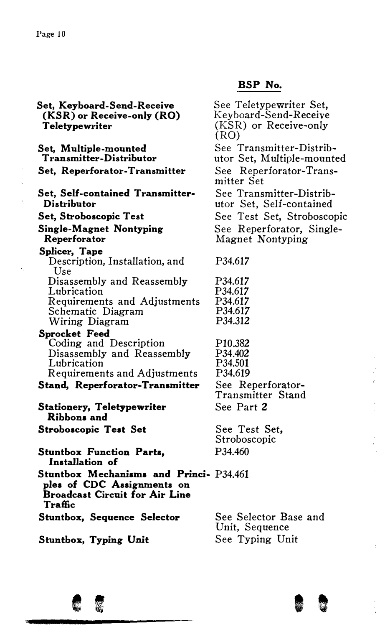Set, Keyboard-Send-Receive (KSR) or Receive-only (RO) Teletypewriter Set, Multiple-mounted Transmitter-Distributor Set, Reperforator-Transmitter Set, Self-contained Transmitter-Distributor Set, Stroboscopic Test Single-Magnet Nontyping Reperforator Splicer, Tape Description, Installation, and Use Disassembly and Reassembly Lubrication Requirements and Adjustments Schematic Diagram Wiring Diagram Sprocket Feed Coding and Description Disassembly and Reassembly Lubrication Requirements and Adjustments Stand, Reperforator· Transmitter Stationery, Teletypewriter Ribbons and Stroboscopic Test Set Stuntbox Function Parts, Installation of Stuntbox Mechanisms and Princi-P34.461 ples of CDC Assignments on Broadcast Circuit for Air Line Traffic Stuntbox, Sequence Selector Stuntbox, Typing Unit See Teletypewriter Set, Keyboard-Send-Receive (KSR) or Receive-only (RO) See Transmitter-Distributor Set, Multiple-mounted See Reperforator-Transmitter Set See Transmitter-Distributor Set, Self-contained See Test Set, Stroboscopic See Reperforator, Single-Magnet Nontyping P34.617 P34.617 P34.617 P34.617 P34.617 P34.312 P10.382 P34.402 P34.501 P34.619 See Reperforator-Transmitter Stand See Part 2 See Test Set, Stroboscopic P34.460 See Selector Base and Unit, Sequence See Typing Unit



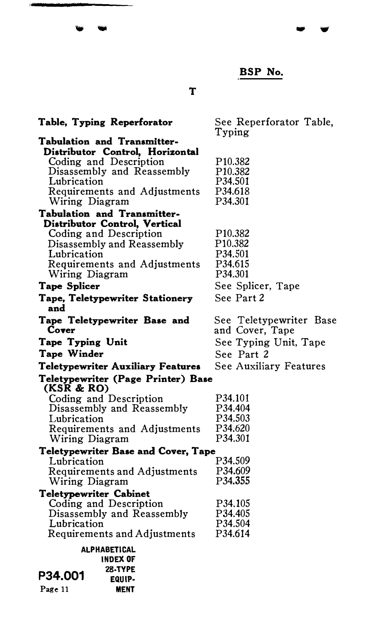.. ..,

T

- 6

| Table, Typing Reperforator                       | See Repertorator Table, |
|--------------------------------------------------|-------------------------|
|                                                  | Typing                  |
| Tabulation and Transmitter-                      |                         |
| Distributor Control, Horizontal                  |                         |
| Coding and Description                           | P <sub>10.382</sub>     |
| Disassembly and Reassembly                       | P <sub>10.382</sub>     |
| Lubrication                                      | P34.501                 |
| Requirements and Adjustments                     | P34.618                 |
| Wiring Diagram                                   | P34.301                 |
| Tabulation and Transmitter-                      |                         |
| Distributor Control, Vertical                    |                         |
| Coding and Description                           | P <sub>10.382</sub>     |
| Disassembly and Reassembly                       | P <sub>10.382</sub>     |
| Lubrication                                      | P34.501                 |
| Requirements and Adjustments                     | P34.615                 |
| Wiring Diagram                                   | P34.301                 |
| <b>Tape Splicer</b>                              | See Splicer, Tape       |
| Tape, Teletypewriter Stationery                  | See Part 2              |
| and                                              |                         |
| Tape Teletypewriter Base and                     | See Teletypewriter Base |
| Cover                                            | and Cover, Tape         |
|                                                  | See Typing Unit, Tape   |
| Tape Typing Unit                                 |                         |
| Tape Winder                                      | See Part 2              |
| Teletypewriter Auxiliary Features                | See Auxiliary Features  |
| Teletypewriter (Page Printer) Base<br>(KSR & RO) |                         |
| Coding and Description                           | P34.101                 |
| Disassembly and Reassembly                       | P34.404                 |
| Lubrication                                      | P34.503                 |
|                                                  | P34.620                 |
| Requirements and Adjustments<br>Wiring Diagram   | P34.301                 |
|                                                  |                         |
| Teletypewriter Base and Cover, Tape              | P34.509                 |
| Lubrication                                      | P34.609                 |
| Requirements and Adjustments                     | P34.355                 |
| Wiring Diagram                                   |                         |
| Teletypewriter Cabinet                           |                         |
| Coding and Description                           | P34.105                 |
| Disassembly and Reassembly                       | P34.405                 |
| Lubrication                                      | P34.504                 |
| Requirements and Adjustments                     | P34.614                 |
| ALPHABETICAL                                     |                         |
| <b>INDEX OF</b>                                  |                         |
| 28-TYPE                                          |                         |
| P34.001<br>EQUIP-                                |                         |

Page 11 MENT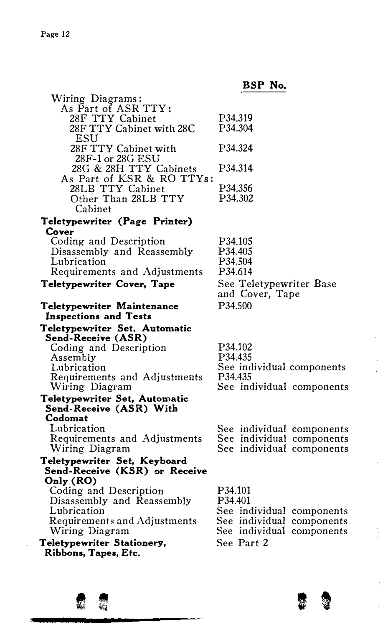| Wiring Diagrams:                                         |                           |
|----------------------------------------------------------|---------------------------|
| As Part of ASR TTY:                                      |                           |
| 28F TTY Cabinet                                          | P34.319                   |
| 28F TTY Cabinet with 28C                                 | P34.304                   |
| ESU                                                      |                           |
| 28F TTY Cabinet with                                     | P34.324                   |
| 28F-1 or 28G ESU                                         |                           |
| 28G & 28H TTY Cabinets                                   | P34.314                   |
| As Part of KSR & RO TTYs:                                |                           |
| 28LB TTY Cabinet                                         | P34.356                   |
| Other Than 28LB TTY                                      | P34.302                   |
| Cabinet                                                  |                           |
| Teletypewriter (Page Printer)                            |                           |
| Cover                                                    |                           |
| Coding and Description                                   | P34.105                   |
| Disassembly and Reassembly                               | P34.405                   |
| Lubrication                                              | P34.504                   |
| Requirements and Adjustments                             | P34.614                   |
| Teletypewriter Cover, Tape                               | See Teletypewriter Base   |
|                                                          | and Cover, Tape           |
| Teletypewriter Maintenance                               | P34.500                   |
| <b>Inspections and Tests</b>                             |                           |
| Teletypewriter Set, Automatic<br>Send-Receive (ASR)      |                           |
| Coding and Description                                   | P34.102                   |
| Assembly                                                 | P34.435                   |
| Lubrication                                              | See individual components |
| Requirements and Adjustments                             | P34.435                   |
| Wiring Diagram                                           | See individual components |
| Teletypewriter Set, Automatic<br>Send-Receive (ASR) With |                           |
| Codomat                                                  |                           |
| Lubrication                                              | See individual components |
| Requirements and Adjustments                             | See individual components |
| Wiring Diagram                                           | See individual components |
| Teletypewriter Set, Keyboard                             |                           |
| Send-Receive (KSR) or Receive                            |                           |
| Only (RO)                                                |                           |
| Coding and Description                                   | P34.101                   |
| Disassembly and Reassembly                               | P34.401                   |
| Lubrication                                              | See individual components |
| Requirements and Adjustments                             | See individual components |
| Wiring Diagram                                           | See individual components |
| Teletypewriter Stationery,                               | See Part 2                |
| Ribbons, Tapes, Etc.                                     |                           |
|                                                          |                           |



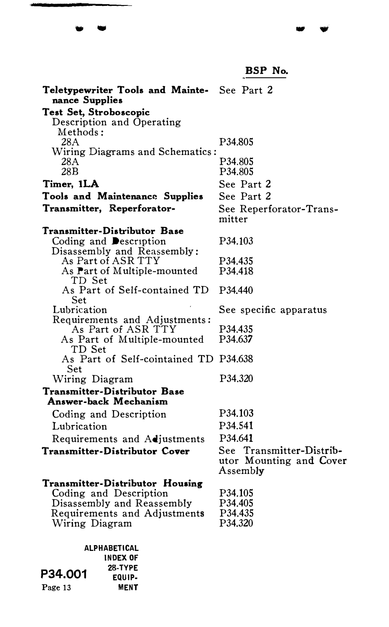BSP No. Teletypewriter Tools and Mainte- See Part 2 nance Supplies Test Set, Stroboscopic Description and Operating Methods: 28A P34.805 Wiring Diagrams and Schematics: 28A P34.805<br>28B P34.805 P34.805 Timer, 1LA See Part 2 See Part 2 Tools and Maintenance Supplies Transmitter, Reperforator· See Reperforator-Transmitter Transmitter-Distributor Base Coding and **Description** Disassembly and Reassembly: As Part of ASR TTY As Part of Multiple-mounted TD Set As Part of Self-contained TD Set Lubrication Requirements and Adjustments: As Part of ASR TTY As Part of Multiple-mounted TD Set As Part of Self-cointained TD P34.638 Set Wiring Diagram Transmitter-Distributor Base Answer-back Mechanism Coding and Description Lubrication Requirements and Adjustments Transmitter-Distributor Cover Transmitter-Distributor Housing Coding and Description Disassembly and Reassembly Requirements and Adjustments Wiring Diagram P34.103 P34.435 P34.418 P34.440 See specific apparatus P34.435 P34.637 P34.320 P34.103 P34.541 P34.641 See Transmitter-Distributor Mounting and Cover Assembly P34.105 P34.405 P34.435 P34.320

... .,

ALPHABETICAL INDEX OF 28-TYPE EQUIP-MENT P34.001 Page 13

. .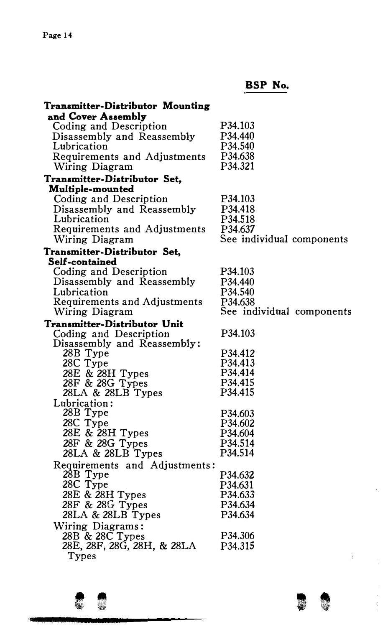| Transmitter-Distributor Mounting               |                                  |
|------------------------------------------------|----------------------------------|
| and Cover Assembly                             |                                  |
| Coding and Description                         | P <sub>34</sub> .10 <sub>3</sub> |
| Disassembly and Reassembly                     | P34.440                          |
| Lubrication                                    | P34.540                          |
| Requirements and Adjustments                   | P34.638                          |
| Wiring Diagram                                 | P34.321                          |
| Transmitter-Distributor Set,                   |                                  |
| Multiple-mounted                               |                                  |
| Coding and Description                         | P34.103                          |
| Disassembly and Reassembly                     | P34.418                          |
| Lubrication                                    | P34.518                          |
| Requirements and Adjustments                   | P34.637                          |
| Wiring Diagram                                 | See individual components        |
| Transmitter-Distributor Set,                   |                                  |
| Self-contained                                 |                                  |
| Coding and Description                         | P34.103                          |
| Disassembly and Reassembly                     | P34.440                          |
| Lubrication                                    | P34.540                          |
| Requirements and Adjustments                   | P34.638                          |
| Wiring Diagram                                 | See individual components        |
|                                                |                                  |
| Transmitter-Distributor Unit                   | P34.103                          |
| Coding and Description                         |                                  |
| Disassembly and Reassembly:                    | P34.412                          |
| 28B Type<br>28C Type                           | P34.413                          |
| 28E & 28H Types                                | P34.414                          |
|                                                | P34.415                          |
| 28F & 28G Types<br>28LA & 28LB Types           | P34.415                          |
| Lubrication:                                   |                                  |
| 28B Type                                       | P34.603                          |
|                                                | P34.602                          |
|                                                | P34.604                          |
| 28C Type<br>28E & 28H Types<br>28F & 28G Types | P34.514                          |
| $28LA & 28LB$ Types                            | P34.514                          |
|                                                |                                  |
| Requirements and Adjustments:<br>28B Type      | P34.632                          |
| 28C Type                                       |                                  |
|                                                | P34.631<br>P34.633               |
| 28E & 28H Types<br>28F & 28G Types             |                                  |
|                                                | P34.634<br>P34.634               |
| $28LA & 28LB$ Types                            |                                  |
| Wiring Diagrams:<br>28B & 28C Types            |                                  |
|                                                | P34.306                          |
| 28E, 28F, 28G, 28H, & 28LA<br>Types            | P34.315                          |



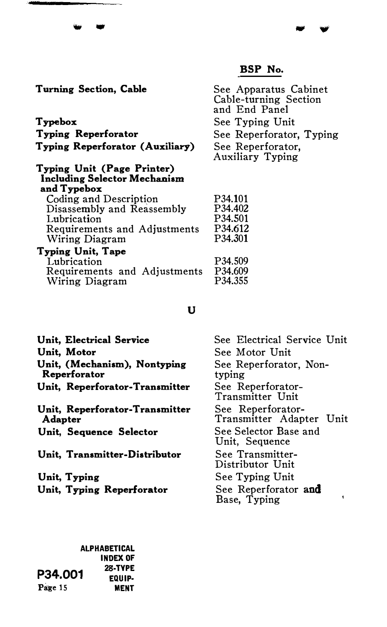$\overline{a}$ 

| See Apparatus Cabinet<br>Cable-turning Section<br>and End Panel |
|-----------------------------------------------------------------|
| See Typing Unit                                                 |
| See Reperforator, Typing                                        |
| See Reperforator.<br>Auxiliary Typing                           |
|                                                                 |
| P34.101                                                         |
| P34.402                                                         |
| P34.501                                                         |
| P34.612                                                         |
| P34.301                                                         |
|                                                                 |
| P34.509                                                         |
| P34.609                                                         |
| P34.355                                                         |
|                                                                 |

## u

| Unit, Electrical Service                         | See Electrical Service Unit                   |  |
|--------------------------------------------------|-----------------------------------------------|--|
| Unit, Motor                                      | See Motor Unit                                |  |
| Unit. (Mechanism), Nontyping<br>Reperforator     | See Reperforator, Non-<br>typing              |  |
| Unit, Reperforator-Transmitter                   | See Reperforator-<br>Transmitter Unit         |  |
| Unit, Reperforator-Transmitter<br><b>Adapter</b> | See Reperforator-<br>Transmitter Adapter Unit |  |
| Unit, Sequence Selector                          | See Selector Base and<br>Unit, Sequence       |  |
| Unit, Transmitter-Distributor                    | See Transmitter-<br>Distributor Unit          |  |
| Unit, Typing                                     | See Typing Unit                               |  |
| Unit, Typing Reperforator                        | See Reperforator and<br>Base, Typing          |  |

#### ALPHABETICAL INDEX Of 28-TYPE EQUIP· MENT P34.001 Page 15

- .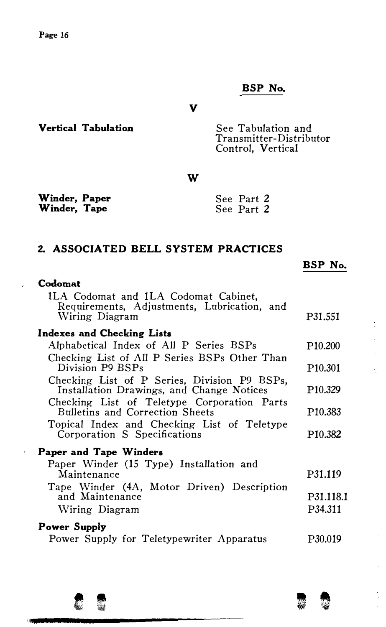v

Vertical Tabulation See Tabulation and Transmitter-Distributor Control, Vertical

w

| Winder, Paper | See Part 2 |
|---------------|------------|
| Winder, Tape  | See Part 2 |

# 2. ASSOCIATED BELL SYSTEM PRACTICES

|  | adomai |  |
|--|--------|--|
|  |        |  |

 $\mathbf{q}^{(i)}$  .

 $\bar{z}$ 

| ILA Codomat and ILA Codomat Cabinet,<br>Requirements, Adjustments, Lubrication, and<br>Wiring Diagram | P31.551             |
|-------------------------------------------------------------------------------------------------------|---------------------|
| Indexes and Checking Lists                                                                            |                     |
| Alphabetical Index of All P Series BSPs                                                               | P <sub>10.200</sub> |
| Checking List of All P Series BSPs Other Than<br>Division P9 BSPs                                     | P <sub>10.301</sub> |
| Checking List of P Series, Division P9 BSPs,<br>Installation Drawings, and Change Notices             | P <sub>10.329</sub> |
| Checking List of Teletype Corporation Parts<br>Bulletins and Correction Sheets                        | P <sub>10.383</sub> |
| Topical Index and Checking List of Teletype<br>Corporation S Specifications                           | P <sub>10.382</sub> |
| Paper and Tape Winders                                                                                |                     |
| Paper Winder (15 Type) Installation and<br>Maintenance<br>Tape Winder (4A, Motor Driven) Description  | P31.119             |
| and Maintenance                                                                                       | P31.118.1           |
| Wiring Diagram                                                                                        | P34.311             |
| Power Supply                                                                                          |                     |
| Power Supply for Teletypewriter Apparatus                                                             | P30.019             |
|                                                                                                       |                     |



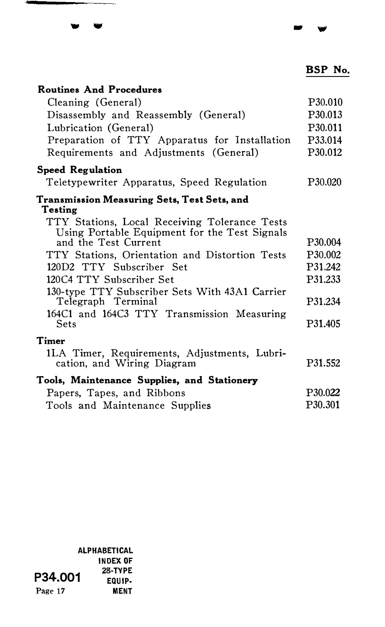.. ...,

| <b>Routines And Procedures</b>                                                                 |                      |
|------------------------------------------------------------------------------------------------|----------------------|
| Cleaning (General)                                                                             | P <sub>30.010</sub>  |
| Disassembly and Reassembly (General)                                                           | P30.013              |
| Lubrication (General)                                                                          | P30.011              |
| Preparation of TTY Apparatus for Installation                                                  | P33.014              |
| Requirements and Adjustments (General)                                                         | P30.012              |
| <b>Speed Regulation</b>                                                                        |                      |
| Teletypewriter Apparatus, Speed Regulation                                                     | P30.020              |
| Transmission Measuring Sets, Test Sets, and<br>Testing                                         |                      |
| TTY Stations, Local Receiving Tolerance Tests<br>Using Portable Equipment for the Test Signals |                      |
| and the Test Current                                                                           | P <sub>30.004</sub>  |
| TTY Stations, Orientation and Distortion Tests                                                 | P30.002              |
| 120D2 TTY Subscriber Set                                                                       | P31.242              |
| 120C4 TTY Subscriber Set                                                                       | P31.233              |
| 130-type TTY Subscriber Sets With 43A1 Carrier<br>Telegraph Terminal                           | P31.234              |
| 164C1 and 164C3 TTY Transmission Measuring<br><b>Sets</b>                                      | P <sub>31</sub> .405 |
| Timer                                                                                          |                      |
| 1LA Timer, Requirements, Adjustments, Lubri-<br>cation, and Wiring Diagram                     | P31.552              |
| Tools, Maintenance Supplies, and Stationery                                                    |                      |
| Papers, Tapes, and Ribbons                                                                     | P <sub>30.022</sub>  |
| Tools and Maintenance Supplies                                                                 | P30.301              |

ALPHABETICAL INDEX OF 28-TYPE EQUIP· MENT P34.001 Page 17

- -